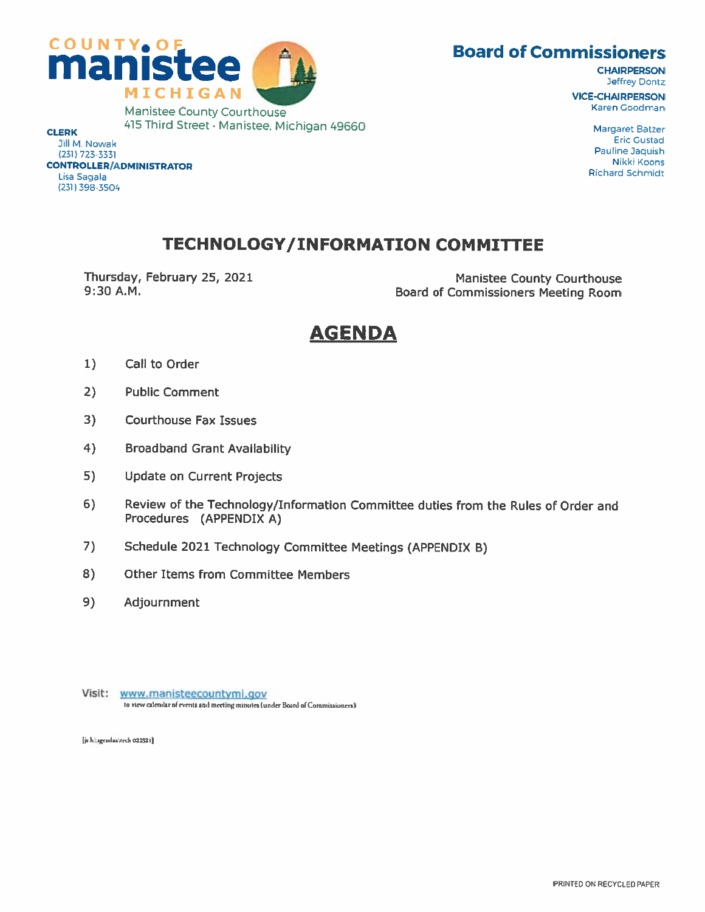## **Board of Commissioners**



**CHAIRPERSON** Jeffrey Dontz **VICE-CHAIRPERSON** Karen Goodman

> **Margaret Batzer Eric Gustad** Pauline Jaquish Nikki Koons **Richard Schmidt**

**CLERK** Jill M. Nowak (231) 723 3331 **CONTROLLER/ADMINISTRATOR** Lisa Sagala (231) 398-3504

## **TECHNOLOGY/INFORMATION COMMITTEE**

Thursday, February 25, 2021 9:30 A.M.

**Manistee County Courthouse** Board of Commissioners Meeting Room

# **AGENDA**

- $1)$ Call to Order
- $2)$ **Public Comment**
- $3)$ **Courthouse Fax Issues**
- $4)$ **Broadband Grant Availability**
- 5) **Update on Current Projects**
- $6)$ Review of the Technology/Information Committee duties from the Rules of Order and Procedures (APPENDIX A)
- $7)$ Schedule 2021 Technology Committee Meetings (APPENDIX B)
- 8) **Other Items from Committee Members**
- 9) Adjournment
- Visit: www.manisteecountymi.gov to view calendar of events and meeting minutes (under Board of Commissioners)

[js h:\agendas\tech 022521]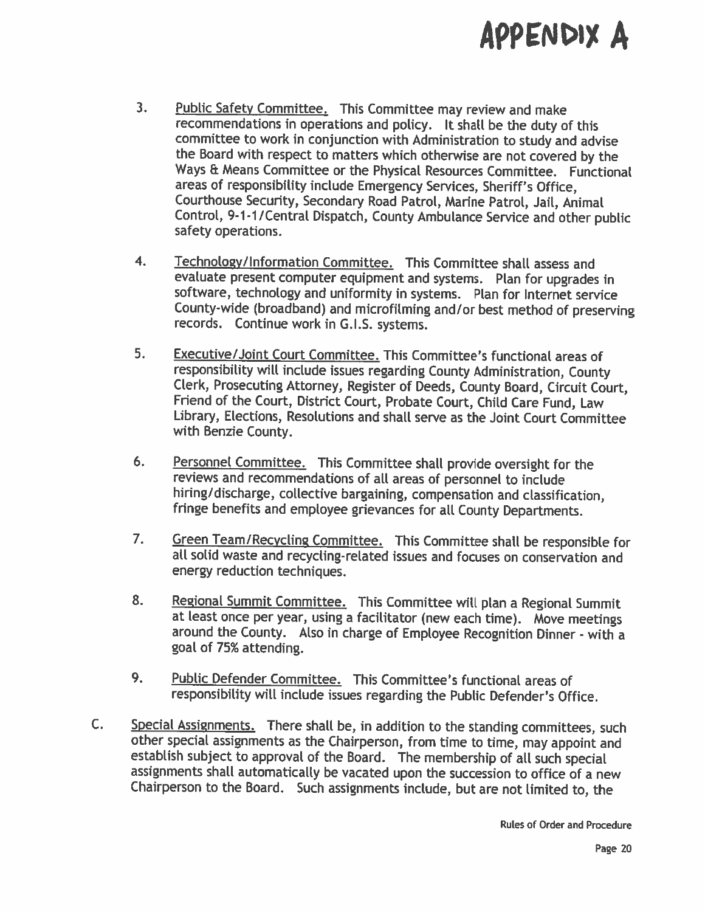# APPENDIX A

- 3. Public Safety Committee. This Committee may review and make recommendations in operations and policy. It shall be the duty of this committee to work in conjunction with Administration to study and advise the Board with respect to matters which otherwise are not covered by the Ways & Means Committee or the Physical Resources Committee. Functional areas of responsibility include Emergency Services, Sheriff's Office, Courthouse Security, Secondary Road Patrol, Marine Patrol, Jail, Animal Control, 9-1-1/Central Dispatch, County Ambulance Service and other public safety operations.
- 4. Technology/Information Committee. This Committee shall assess and evaluate present computer equipment and systems. Plan for upgrades in software, technology and uniformity in systems. Plan for Internet service County-wide (broadband) and microfilming and/or best method of preserving records. Continue work in G.I.S. systems.
- 5. Executive/Joint Court Committee. This Committee's functional areas of responsibility will include issues regarding County Administration, County Clerk, Prosecuting Attorney, Register of Deeds, County Board, Circuit Court, Friend of the Court, District Court, Probate Court, Child Care Fund, Law Library, Elections, Resolutions and shall serve as the Joint Court Committee with Benzie County.
- 6. Personnel Committee. This Committee shall provide oversight for the reviews and recommendations of all areas of personnel to include hiring/discharge, collective bargaining, compensation and classification, fringe benefits and employee grievances for all County Departments.
- 7. Green Team/Recycling Committee. This Committee shall be responsible for all solid waste and recycling-related issues and focuses on conservation and energy reduction techniques.
- 8. Regional Summit Committee. This Committee will plan a Regional Summit at least once per year, using <sup>a</sup> facilitator (new each time). Move meetings around the County. Also in charge of Employee Recognition Dinner - with <sup>a</sup> goat of 75% attending.
- 9. Public Defender Committee. This Committee's functional areas of responsibility will include issues regarding the Public Defender's Office.
- C. Special Assignments. There shall be, in addition to the standing committees, such other special assignments as the Chairperson, from time to time, may appoint and establish subject to approval of the board. The membership of all such special assignments shall automatically be vacated upon the succession to office of <sup>a</sup> new Chairperson to the Board. Such assignments include, but are not limited to, the